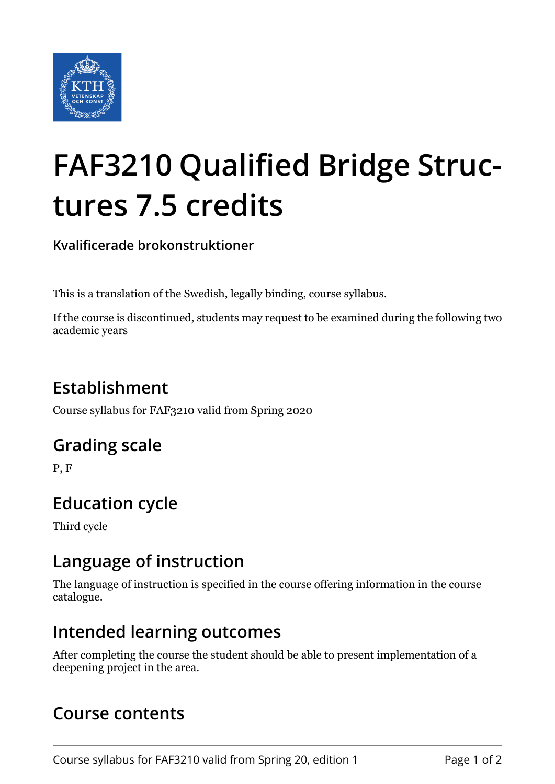

# **FAF3210 Qualified Bridge Structures 7.5 credits**

**Kvalificerade brokonstruktioner**

This is a translation of the Swedish, legally binding, course syllabus.

If the course is discontinued, students may request to be examined during the following two academic years

# **Establishment**

Course syllabus for FAF3210 valid from Spring 2020

## **Grading scale**

P, F

## **Education cycle**

Third cycle

#### **Language of instruction**

The language of instruction is specified in the course offering information in the course catalogue.

#### **Intended learning outcomes**

After completing the course the student should be able to present implementation of a deepening project in the area.

#### **Course contents**